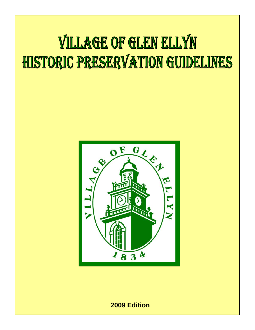# **VILLAGE OF GLEN ELLYN** HISTORIC PRESERVATION GUIDELINES



**2009 Edition**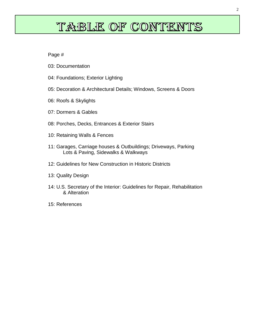# TABLE OF CONTENTS

Page #

- 03: Documentation
- 04: Foundations; Exterior Lighting
- 05: Decoration & Architectural Details; Windows, Screens & Doors
- 06: Roofs & Skylights
- 07: Dormers & Gables
- 08: Porches, Decks, Entrances & Exterior Stairs
- 10: Retaining Walls & Fences
- 11: Garages, Carriage houses & Outbuildings; Driveways, Parking Lots & Paving, Sidewalks & Walkways
- 12: Guidelines for New Construction in Historic Districts
- 13: Quality Design
- 14: U.S. Secretary of the Interior: Guidelines for Repair, Rehabilitation & Alteration
- 15: References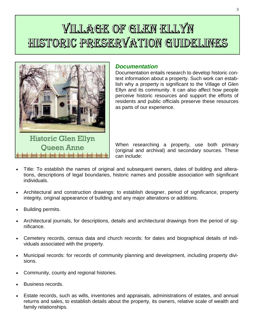# VILLAGE OF GLEN ELLYN HISTORIC PRESERVATION GUIDELINES



**Oueen Anne** 

# *Documentation*

Documentation entails research to develop historic context information about a property. Such work can establish why a property is significant to the Village of Glen Ellyn and its community. It can also affect how people perceive historic resources and support the efforts of residents and public officials preserve these resources as parts of our experience.

When researching a property, use both primary (original and archival) and secondary sources. These can include:

- Title: To establish the names of original and subsequent owners, dates of building and alterations, descriptions of legal boundaries, historic names and possible association with significant individuals.
- Architectural and construction drawings: to establish designer, period of significance, property integrity, original appearance of building and any major alterations or additions.
- Building permits.
- Architectural journals, for descriptions, details and architectural drawings from the period of significance.
- Cemetery records, census data and church records: for dates and biographical details of individuals associated with the property.
- Municipal records: for records of community planning and development, including property divisions.
- Community, county and regional histories.
- Business records.
- Estate records, such as wills, inventories and appraisals, administrations of estates, and annual returns and sales, to establish details about the property, its owners, relative scale of wealth and family relationships.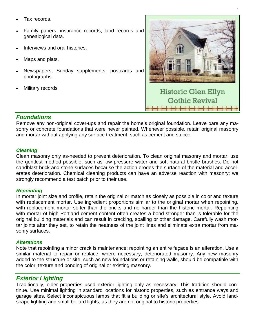- Tax records.
- Family papers, insurance records, land records and genealogical data.
- Interviews and oral histories.
- Maps and plats.
- Newspapers, Sunday supplements, postcards and photographs.
- Military records



# *Foundations*

Remove any non-original cover-ups and repair the home's original foundation. Leave bare any masonry or concrete foundations that were never painted. Whenever possible, retain original masonry and mortar without applying any surface treatment, such as cement and stucco.

#### *Cleaning*

Clean masonry only as-needed to prevent deterioration. To clean original masonry and mortar, use the gentlest method possible, such as low pressure water and soft natural bristle brushes. Do not sandblast brick and stone surfaces because the action erodes the surface of the material and accelerates deterioration. Chemical cleaning products can have an adverse reaction with masonry; we strongly recommend a test patch prior to their use.

#### *Repointing*

In mortar joint size and profile, retain the original or match as closely as possible in color and texture with replacement mortar. Use ingredient proportions similar to the original mortar when repointing, with replacement mortar softer than the bricks and no harder than the historic mortar. Repointing with mortar of high Portland cement content often creates a bond stronger than is tolerable for the original building materials and can result in cracking, spalling or other damage. Carefully wash mortar joints after they set, to retain the neatness of the joint lines and eliminate extra mortar from masonry surfaces.

#### *Alterations*

Note that repointing a minor crack is maintenance; repointing an entire façade is an alteration. Use a similar material to repair or replace, where necessary, deteriorated masonry. Any new masonry added to the structure or site, such as new foundations or retaining walls, should be compatible with the color, texture and bonding of original or existing masonry.

# *Exterior Lighting*

Traditionally, older properties used exterior lighting only as necessary. This tradition should continue. Use minimal lighting in standard locations for historic properties, such as entrance ways and garage sites. Select inconspicuous lamps that fit a building or site's architectural style. Avoid landscape lighting and small bollard lights, as they are not original to historic properties.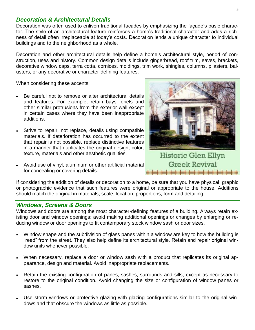# *Decoration & Architectural Details*

Decoration was often used to enliven traditional facades by emphasizing the façade's basic character. The style of an architectural feature reinforces a home's traditional character and adds a richness of detail often irreplaceable at today's costs. Decoration lends a unique character to individual buildings and to the neighborhood as a whole.

Decoration and other architectural details help define a home's architectural style, period of construction, uses and history. Common design details include gingerbread, roof trim, eaves, brackets, decorative window caps, terra cotta, cornices, moldings, trim work, shingles, columns, pilasters, balusters, or any decorative or character-defining features.

When considering these accents:

- Be careful not to remove or alter architectural details and features. For example, retain bays, oriels and other similar protrusions from the exterior wall except in certain cases where they have been inappropriate additions.
- Strive to repair, not replace, details using compatible materials. If deterioration has occurred to the extent that repair is not possible, replace distinctive features in a manner that duplicates the original design, color, texture, materials and other aesthetic qualities.
- Avoid use of vinyl, aluminum or other artificial material for concealing or covering details.



If considering the addition of details or decoration to a home, be sure that you have physical, graphic or photographic evidence that such features were original or appropriate to the house. Additions should match the original in materials, scale, location, proportions, form and detailing.

# *Windows, Screens & Doors*

Windows and doors are among the most character-defining features of a building. Always retain existing door and window openings; avoid making additional openings or changes by enlarging or reducing window or door openings to fit contemporary stock window sash or door sizes.

- Window shape and the subdivision of glass panes within a window are key to how the building is "read" from the street. They also help define its architectural style. Retain and repair original window units whenever possible.
- When necessary, replace a door or window sash with a product that replicates its original appearance, design and material. Avoid inappropriate replacements.
- Retain the existing configuration of panes, sashes, surrounds and sills, except as necessary to restore to the original condition. Avoid changing the size or configuration of window panes or sashes.
- Use storm windows or protective glazing with glazing configurations similar to the original windows and that obscure the windows as little as possible.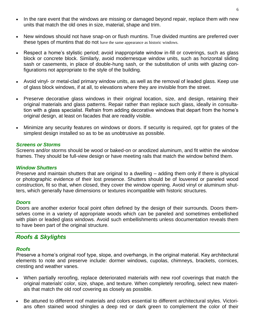- In the rare event that the windows are missing or damaged beyond repair, replace them with new  $\bullet$ units that match the old ones in size, material, shape and trim.
- New windows should not have snap-on or flush muntins. True divided muntins are preferred over  $\bullet$ these types of muntins that do not have the same appearance as historic windows.
- Respect a home's stylistic period; avoid inappropriate window in-fill or coverings, such as glass block or concrete block. Similarly, avoid modernesque window units, such as horizontal sliding sash or casements, in place of double-hung sash, or the substitution of units with glazing configurations not appropriate to the style of the building.
- Avoid vinyl- or metal-clad primary window units, as well as the removal of leaded glass. Keep use of glass block windows, if at all, to elevations where they are invisible from the street.
- Preserve decorative glass windows in their original location, size, and design, retaining their original materials and glass patterns. Repair rather than replace such glass, ideally in consultation with a glass specialist. Refrain from adding decorative windows that depart from the home's original design, at least on facades that are readily visible.
- Minimize any security features on windows or doors. If security is required, opt for grates of the simplest design installed so as to be as unobtrusive as possible.

#### *Screens or Storms*

Screens and/or storms should be wood or baked-on or anodized aluminum, and fit within the window frames. They should be full-view design or have meeting rails that match the window behind them.

#### *Window Shutters*

Preserve and maintain shutters that are original to a dwelling – adding them only if there is physical or photographic evidence of their lost presence. Shutters should be of louvered or paneled wood construction, fit so that, when closed, they cover the window opening. Avoid vinyl or aluminum shutters, which generally have dimensions or textures incompatible with historic structures.

#### *Doors*

Doors are another exterior focal point often defined by the design of their surrounds. Doors themselves come in a variety of appropriate woods which can be paneled and sometimes embellished with plain or leaded glass windows. Avoid such embellishments unless documentation reveals them to have been part of the original structure.

#### *Roofs & Skylights*

#### *Roofs*

Preserve a home's original roof type, slope, and overhangs, in the original material. Key architectural elements to note and preserve include: dormer windows, cupolas, chimneys, brackets, cornices, cresting and weather vanes.

- When partially reroofing, replace deteriorated materials with new roof coverings that match the original materials' color, size, shape, and texture. When completely reroofing, select new materials that match the old roof covering as closely as possible.
- Be attuned to different roof materials and colors essential to different architectural styles. Victorians often stained wood shingles a deep red or dark green to complement the color of their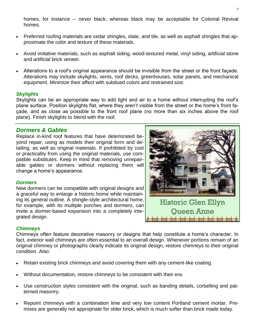homes, for instance -- never black; whereas black may be acceptable for Colonial Revival homes.

- Preferred roofing materials are cedar shingles, slate, and tile, as well as asphalt shingles that approximate the color and texture of these materials.
- Avoid imitative materials, such as asphalt siding, wood-textured metal, vinyl siding, artificial stone and artificial brick veneer.
- Alterations to a roof's original appearance should be invisible from the street or the front façade. Alterations may include skylights, vents, roof decks, greenhouses, solar panels, and mechanical equipment. Minimize their affect with subdued colors and restrained size.

#### *Skylights*

Skylights can be an appropriate way to add light and air to a home without interrupting the roof's plane surface. Position skylights flat, where they aren't visible from the street or the home's front façade, and as close as possible to the front roof plane (no more than six inches above the roof plane). Finish skylights to blend with the roof.

# *Dormers & Gables*

Replace in-kind roof features that have deteriorated beyond repair, using as models their original form and detailing, as well as original materials. If prohibited by cost or practicality from using the original materials, use compatible substitutes. Keep in mind that removing unrepairable gables or dormers without replacing them will change a home's appearance.

#### *Dormers*

New dormers can be compatible with original designs and a graceful way to enlarge a historic home while maintaining its general outline. A shingle-style architectural home, for example, with its multiple porches and dormers, can invite a dormer-based expansion into a completely integrated design.



# *Chimneys*

Chimneys often feature decorative masonry or designs that help constitute a home's character. In fact, exterior wall chimneys are often essential to an overall design. Whenever portions remain of an original chimney or photographs clearly indicate its original design, restore chimneys to their original condition. Also:

- Retain existing brick chimneys and avoid covering them with any cement-like coating.
- Without documentation, restore chimneys to be consistent with their era.
- Use construction styles consistent with the original, such as banding details, corbelling and patterned masonry.
- Repoint chimneys with a combination lime and very low content Portland cement mortar. Premixes are generally not appropriate for older brick, which is much softer than brick made today.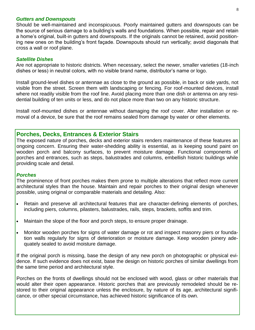#### *Gutters and Downspouts*

Should be well-maintained and inconspicuous. Poorly maintained gutters and downspouts can be the source of serious damage to a building's walls and foundations. When possible, repair and retain a home's original, built-in gutters and downspouts. If the originals cannot be retained, avoid positioning new ones on the building's front façade. Downspouts should run vertically; avoid diagonals that cross a wall or roof plane.

#### *Satellite Dishes*

Are not appropriate to historic districts. When necessary, select the newer, smaller varieties (18-inch dishes or less) in neutral colors, with no visible brand name, distributor's name or logo.

Install ground-level dishes or antennae as close to the ground as possible, in back or side yards, not visible from the street. Screen them with landscaping or fencing. For roof-mounted devices, install where not readily visible from the roof line. Avoid placing more than one dish or antenna on any residential building of ten units or less, and do not place more than two on any historic structure.

Install roof-mounted dishes or antennae without damaging the roof cover. After installation or removal of a device, be sure that the roof remains sealed from damage by water or other elements.

# **Porches, Decks, Entrances & Exterior Stairs**

The exposed nature of porches, decks and exterior stairs renders maintenance of these features an ongoing concern. Ensuring their water-shedding ability is essential, as is keeping sound paint on wooden porch and balcony surfaces, to prevent moisture damage. Functional components of porches and entrances, such as steps, balustrades and columns, embellish historic buildings while providing scale and detail.

#### *Porches*

The prominence of front porches makes them prone to multiple alterations that reflect more current architectural styles than the house. Maintain and repair porches to their original design whenever possible, using original or comparable materials and detailing. Also:

- Retain and preserve all architectural features that are character-defining elements of porches,  $\bullet$ including piers, columns, pilasters, balustrades, rails, steps, brackets, soffits and trim.
- Maintain the slope of the floor and porch steps, to ensure proper drainage.  $\bullet$
- Monitor wooden porches for signs of water damage or rot and inspect masonry piers or founda- $\bullet$ tion walls regularly for signs of deterioration or moisture damage. Keep wooden joinery adequately sealed to avoid moisture damage.

If the original porch is missing, base the design of any new porch on photographic or physical evidence. If such evidence does not exist, base the design on historic porches of similar dwellings from the same time period and architectural style.

Porches on the fronts of dwellings should not be enclosed with wood, glass or other materials that would alter their open appearance. Historic porches that are previously remodeled should be restored to their original appearance unless the enclosure, by nature of its age, architectural significance, or other special circumstance, has achieved historic significance of its own.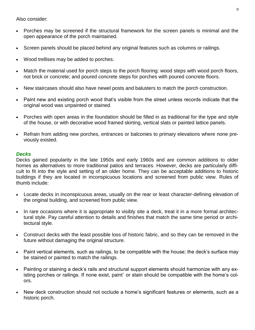Also consider:

- Porches may be screened if the structural framework for the screen panels is minimal and the open appearance of the porch maintained.
- Screen panels should be placed behind any original features such as columns or railings.  $\bullet$
- Wood trellises may be added to porches.
- Match the material used for porch steps to the porch flooring: wood steps with wood porch floors, not brick or concrete; and poured concrete steps for porches with poured concrete floors.
- New staircases should also have newel posts and balusters to match the porch construction.  $\bullet$
- Paint new and existing porch wood that's visible from the street unless records indicate that the original wood was unpainted or stained.
- Porches with open areas in the foundation should be filled in as traditional for the type and style  $\bullet$ of the house, or with decorative wood framed skirting, vertical slats or painted lattice panels.
- Refrain from adding new porches, entrances or balconies to primary elevations where none previously existed.

#### *Decks*

Decks gained popularity in the late 1950s and early 1960s and are common additions to older homes as alternatives to more traditional patios and terraces. However, decks are particularly difficult to fit into the style and setting of an older home. They can be acceptable additions to historic buildings if they are located in inconspicuous locations and screened from public view. Rules of thumb include:

- Locate decks in inconspicuous areas, usually on the rear or least character-defining elevation of  $\bullet$ the original building, and screened from public view.
- In rare occasions where it is appropriate to visibly site a deck, treat it in a more formal architec- $\bullet$ tural style. Pay careful attention to details and finishes that match the same time period or architectural style.
- Construct decks with the least possible loss of historic fabric, and so they can be removed in the  $\bullet$ future without damaging the original structure.
- Paint vertical elements, such as railings, to be compatible with the house; the deck's surface may be stained or painted to match the railings.
- Painting or staining a deck's rails and structural support elements should harmonize with any ex- $\bullet$ isting porches or railings. If none exist, paint` or stain should be compatible with the home's colors.
- New deck construction should not occlude a home's significant features or elements, such as a historic porch.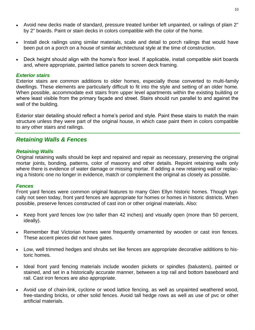- Avoid new decks made of standard, pressure treated lumber left unpainted, or railings of plain 2" by 2" boards. Paint or stain decks in colors compatible with the color of the home.
- Install deck railings using similar materials, scale and detail to porch railings that would have  $\bullet$ been put on a porch on a house of similar architectural style at the time of construction.
- $\bullet$ Deck height should align with the home's floor level. If applicable, install compatible skirt boards and, where appropriate, painted lattice panels to screen deck framing.

#### *Exterior stairs*

Exterior stairs are common additions to older homes, especially those converted to multi-family dwellings. These elements are particularly difficult to fit into the style and setting of an older home. When possible, accommodate exit stairs from upper level apartments within the existing building or where least visible from the primary façade and street. Stairs should run parallel to and against the wall of the building.

Exterior stair detailing should reflect a home's period and style. Paint these stairs to match the main structure unless they were part of the original house, in which case paint them in colors compatible to any other stairs and railings.

# *Retaining Walls & Fences*

#### *Retaining Walls*

Original retaining walls should be kept and repaired and repair as necessary, preserving the original mortar joints, bonding, patterns, color of masonry and other details. Repoint retaining walls only where there is evidence of water damage or missing mortar. If adding a new retaining wall or replacing a historic one no longer in evidence, match or complement the original as closely as possible.

#### *Fences*

Front yard fences were common original features to many Glen Ellyn historic homes. Though typically not seen today, front yard fences are appropriate for homes or homes in historic districts. When possible, preserve fences constructed of cast iron or other original materials. Also:

- Keep front yard fences low (no taller than 42 inches) and visually open (more than 50 percent, ideally).
- Remember that Victorian homes were frequently ornamented by wooden or cast iron fences.  $\bullet$  . These accent pieces did not have gates.
- Low, well trimmed hedges and shrubs set like fences are appropriate decorative additions to historic homes.
- Ideal front yard fencing materials include wooden pickets or spindles (balusters), painted or  $\bullet$ stained, and set in a historically accurate manner, between a top rail and bottom baseboard and rail. Cast iron fences are also appropriate.
- Avoid use of chain-link, cyclone or wood lattice fencing, as well as unpainted weathered wood,  $\bullet$ free-standing bricks, or other solid fences. Avoid tall hedge rows as well as use of pvc or other artificial materials.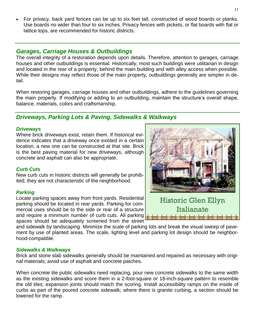For privacy, back yard fences can be up to six feet tall, constructed of wood boards or planks. Use boards no wider than four to six inches. Privacy fences with pickets, or flat boards with flat or lattice tops, are recommended for historic districts.

# *Garages, Carriage Houses & Outbuildings*

The overall integrity of a restoration depends upon details. Therefore, attention to garages, carriage houses and other outbuildings is essential. Historically, most such buildings were utilitarian in design and located in the rear of a property, behind the main building and with alley access when possible. While their designs may reflect those of the main property, outbuildings generally are simpler in detail.

When restoring garages, carriage houses and other outbuildings, adhere to the guidelines governing the main property. If modifying or adding to an outbuilding, maintain the structure's overall shape, balance, materials, colors and craftsmanship.

# *Driveways, Parking Lots & Paving, Sidewalks & Walkways*

#### *Driveways*

Where brick driveways exist, retain them. If historical evidence indicates that a driveway once existed in a certain location, a new one can be constructed at that site. Brick is the best paving material for new driveways, although concrete and asphalt can also be appropriate.

#### *Curb Cuts*

New curb cuts in historic districts will generally be prohibited; they are not characteristic of the neighborhood.

#### *Parking*

Locate parking spaces away from front yards. Residential parking should be located in rear yards. Parking for commercial uses should be to the side or rear of a structure and require a minimum number of curb cuts. All parking spaces should be adequately screened from the street

and sidewalk by landscaping. Minimize the scale of parking lots and break the visual sweep of pavement by use of planted areas. The scale, lighting level and parking lot design should be neighborhood-compatible.

#### *Sidewalks & Walkways*

Brick and stone slab sidewalks generally should be maintained and repaired as necessary with original materials; avoid use of asphalt and concrete patches.

When concrete tile public sidewalks need replacing, pour new concrete sidewalks to the same width as the existing sidewalks and score them in a 2-foot-square or 18-inch-square pattern to resemble the old tiles; expansion joints should match the scoring. Install accessibility ramps on the inside of curbs as part of the poured concrete sidewalk; where there is granite curbing, a section should be lowered for the ramp.

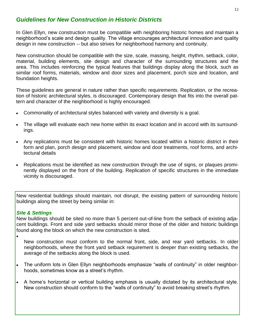# *Guidelines for New Construction in Historic Districts*

In Glen Ellyn, new construction must be compatible with neighboring historic homes and maintain a neighborhood's scale and design quality. The village encourages architectural innovation and quality design in new construction -- but also strives for neighborhood harmony and continuity.

New construction should be compatible with the size, scale, massing, height, rhythm, setback, color, material, building elements, site design and character of the surrounding structures and the area. This includes reinforcing the typical features that buildings display along the block, such as similar roof forms, materials, window and door sizes and placement, porch size and location, and foundation heights.

These guidelines are general in nature rather than specific requirements. Replication, or the recreation of historic architectural styles, is discouraged. Contemporary design that fits into the overall pattern and character of the neighborhood is highly encouraged.

- Commonality of architectural styles balanced with variety and diversity is a goal.
- The village will evaluate each new home within its exact location and in accord with its surroundings.
- Any replications must be consistent with historic homes located within a historic district in their form and plan, porch design and placement, window and door treatments, roof forms, and architectural details
- Replications must be identified as new construction through the use of signs, or plaques prominently displayed on the front of the building. Replication of specific structures in the immediate vicinity is discouraged.

New residential buildings should maintain, not disrupt, the existing pattern of surrounding historic buildings along the street by being similar in:

#### *Site & Settings*

New buildings should be sited no more than 5 percent out-of-line from the setback of existing adjacent buildings. Front and side yard setbacks should mirror those of the older and historic buildings found along the block on which the new construction is sited.

 $\bullet$ 

New construction must conform to the normal front, side, and rear yard setbacks. In older neighborhoods, where the front yard setback requirement is deeper than existing setbacks, the average of the setbacks along the block is used.

- The uniform lots in Glen Ellyn neighborhoods emphasize "walls of continuity" in older neighborhoods, sometimes know as a street's rhythm.
- A home's horizontal or vertical building emphasis is usually dictated by its architectural style. New construction should conform to the "walls of continuity" to avoid breaking street's rhythm.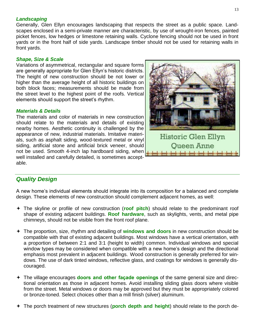#### *Landscaping*

Generally, Glen Ellyn encourages landscaping that respects the street as a public space. Landscapes enclosed in a semi-private manner are characteristic, by use of wrought-iron fences, painted picket fences, low hedges or limestone retaining walls. Cyclone fencing should not be used in front yards or in the front half of side yards. Landscape timber should not be used for retaining walls in front yards.

#### *Shape, Size & Scale*

Variations of asymmetrical, rectangular and square forms are generally appropriate for Glen Ellyn's historic districts. The height of new construction should be not lower or higher than the average height of all historic buildings on both block faces; measurements should be made from the street level to the highest point of the roofs. Vertical elements should support the street's rhythm.

#### *Materials & Details*

The materials and color of materials in new construction should relate to the materials and details of existing nearby homes. Aesthetic continuity is challenged by the appearance of new, industrial materials. Imitative materials, such as asphalt siding, wood-textured metal or vinyl siding, artificial stone and artificial brick veneer, should not be used. Smooth 4-inch lap hardboard siding, when well installed and carefully detailed, is sometimes acceptable.



# *Quality Design*

A new home's individual elements should integrate into its composition for a balanced and complete design. These elements of new construction should complement adjacent homes, as well:

- The skyline or profile of new construction (**roof pitch**) should relate to the predominant roof shape of existing adjacent buildings. **Roof hardware**, such as skylights, vents, and metal pipe chimneys, should not be visible from the front roof plane.
- The proportion, size, rhythm and detailing of **windows and doors** in new construction should be compatible with that of existing adjacent buildings. Most windows have a vertical orientation, with a proportion of between 2:1 and 3:1 (height to width) common. Individual windows and special window types may be considered when compatible with a new home's design and the directional emphasis most prevalent in adjacent buildings. Wood construction is generally preferred for windows. The use of dark tinted windows, reflective glass, and coatings for windows is generally discouraged.
- The village encourages **doors and other façade openings** of the same general size and directional orientation as those in adjacent homes. Avoid installing sliding glass doors where visible from the street. Metal windows or doors may be approved but they must be appropriately colored or bronze-toned. Select choices other than a mill finish (silver) aluminum.
- The porch treatment of new structures (**porch depth and height**) should relate to the porch de-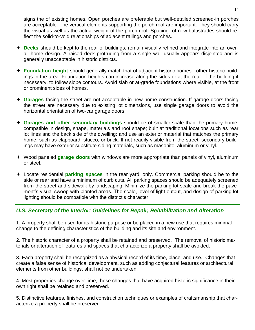signs the of existing homes. Open porches are preferable but well-detailed screened-in porches are acceptable. The vertical elements supporting the porch roof are important. They should carry the visual as well as the actual weight of the porch roof. Spacing of new balustrades should reflect the solid-to-void relationships of adjacent railings and porches.

- **Decks** should be kept to the rear of buildings, remain visually refined and integrate into an overall home design. A raised deck protruding from a single wall usually appears disjointed and is generally unacceptable in historic districts.
- **Foundation height** should generally match that of adjacent historic homes. other historic buildings in the area. Foundation heights can increase along the sides or at the rear of the building if necessary, to follow slope contours. Avoid slab or at-grade foundations where visible, at the front or prominent sides of homes.
- **Garages** facing the street are not acceptable in new home construction. If garage doors facing the street are necessary due to existing lot dimensions, use single garage doors to avoid the horizontal orientation of two-car garage doors.
- **Garages and other secondary buildings** should be of smaller scale than the primary home, compatible in design, shape, materials and roof shape; built at traditional locations such as rear lot lines and the back side of the dwelling; and use an exterior material that matches the primary home, such as clapboard, stucco, or brick. If not readily visible from the street, secondary buildings may have exterior substitute siding materials, such as masonite, aluminum or vinyl.
- Wood paneled **garage doors** with windows are more appropriate than panels of vinyl, aluminum or steel.
- Locate residential **parking spaces** in the rear yard, only. Commercial parking should be to the side or rear and have a minimum of curb cuts. All parking spaces should be adequately screened from the street and sidewalk by landscaping. Minimize the parking lot scale and break the pavement's visual sweep with planted areas. The scale, level of light output, and design of parking lot lighting should be compatible with the district's character

# *U.S. Secretary of the Interior: Guidelines for Repair, Rehabilitation and Alteration*

1. A property shall be used for its historic purpose or be placed in a new use that requires minimal change to the defining characteristics of the building and its site and environment.

2. The historic character of a property shall be retained and preserved. The removal of historic materials or alteration of features and spaces that characterize a property shall be avoided.

3. Each property shall be recognized as a physical record of its time, place, and use. Changes that create a false sense of historical development, such as adding conjectural features or architectural elements from other buildings, shall not be undertaken.

4. Most properties change over time; those changes that have acquired historic significance in their own right shall be retained and preserved.

5. Distinctive features, finishes, and construction techniques or examples of craftsmanship that characterize a property shall be preserved.